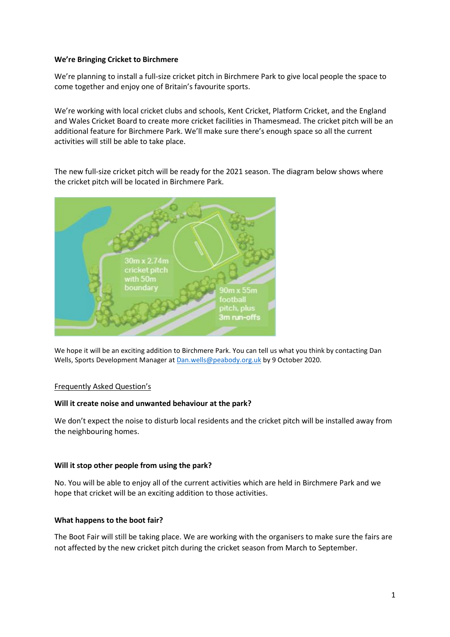#### **We're Bringing Cricket to Birchmere**

We're planning to install a full-size cricket pitch in Birchmere Park to give local people the space to come together and enjoy one of Britain's favourite sports.

We're working with local cricket clubs and schools, Kent Cricket, Platform Cricket, and the England and Wales Cricket Board to create more cricket facilities in Thamesmead. The cricket pitch will be an additional feature for Birchmere Park. We'll make sure there's enough space so all the current activities will still be able to take place.

The new full-size cricket pitch will be ready for the 2021 season. The diagram below shows where the cricket pitch will be located in Birchmere Park.



We hope it will be an exciting addition to Birchmere Park. You can tell us what you think by contacting Dan Wells, Sports Development Manager a[t Dan.wells@peabody.org.uk](mailto:Dan.wells@peabody.org.uk) by 9 October 2020.

#### Frequently Asked Question's

#### **Will it create noise and unwanted behaviour at the park?**

We don't expect the noise to disturb local residents and the cricket pitch will be installed away from the neighbouring homes.

#### **Will it stop other people from using the park?**

No. You will be able to enjoy all of the current activities which are held in Birchmere Park and we hope that cricket will be an exciting addition to those activities.

#### **What happens to the boot fair?**

The Boot Fair will still be taking place. We are working with the organisers to make sure the fairs are not affected by the new cricket pitch during the cricket season from March to September.